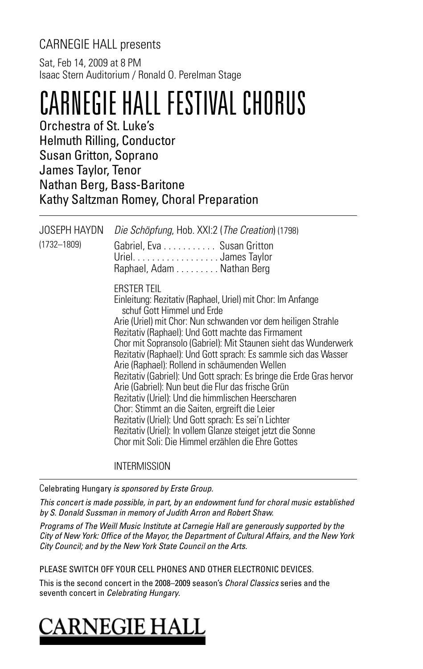## CARNEGIE HALL presents

Sat, Feb 14, 2009 at 8 PM Isaac Stern Auditorium / Ronald O. Perelman Stage

## CARNEGIE HALL FESTIVAL CHORUS

Orchestra of St. Luke's Helmuth Rilling, Conductor Susan Gritton, Soprano James Taylor, Tenor Nathan Berg, Bass-Baritone Kathy Saltzman Romey, Choral Preparation

| <b>JOSEPH HAYDN</b><br>$(1732 - 1809)$ | Die Schöpfung, Hob. XXI:2 (The Creation) (1798)<br>Gabriel, Eva Susan Gritton<br>Uriel. James Taylor<br>Raphael, Adam Nathan Berg                                                                                                                                                                                                                                                                                                                                                                                                                                                                                                                                                                                                                                                                                                                |
|----------------------------------------|--------------------------------------------------------------------------------------------------------------------------------------------------------------------------------------------------------------------------------------------------------------------------------------------------------------------------------------------------------------------------------------------------------------------------------------------------------------------------------------------------------------------------------------------------------------------------------------------------------------------------------------------------------------------------------------------------------------------------------------------------------------------------------------------------------------------------------------------------|
|                                        | <b>ERSTER TEIL</b><br>Einleitung: Rezitativ (Raphael, Uriel) mit Chor: Im Anfange<br>schuf Gott Himmel und Erde<br>Arie (Uriel) mit Chor: Nun schwanden vor dem heiligen Strahle<br>Rezitativ (Raphael): Und Gott machte das Firmament<br>Chor mit Sopransolo (Gabriel): Mit Staunen sieht das Wunderwerk<br>Rezitativ (Raphael): Und Gott sprach: Es sammle sich das Wasser<br>Arie (Raphael): Rollend in schäumenden Wellen<br>Rezitativ (Gabriel): Und Gott sprach: Es bringe die Erde Gras hervor<br>Arie (Gabriel): Nun beut die Flur das frische Grün<br>Rezitativ (Uriel): Und die himmlischen Heerscharen<br>Chor: Stimmt an die Saiten, ergreift die Leier<br>Rezitativ (Uriel): Und Gott sprach: Es sei'n Lichter<br>Rezitativ (Uriel): In vollem Glanze steiget jetzt die Sonne<br>Chor mit Soli: Die Himmel erzählen die Ehre Gottes |

**INTERMISSION** 

Celebrating Hungary is sponsored by Erste Group.

This concert is made possible, in part, by an endowment fund for choral music established by S. Donald Sussman in memory of Judith Arron and Robert Shaw.

Programs of The Weill Music Institute at Carnegie Hall are generously supported by the City of New York: Office of the Mayor, the Department of Cultural Affairs, and the New York City Council; and by the New York State Council on the Arts.

PLEASE SWITCH OFF YOUR CELL PHONES AND OTHER ELECTRONIC DEVICES.

This is the second concert in the 2008–2009 season's *Choral Classics* series and the seventh concert in Celebrating Hungary.

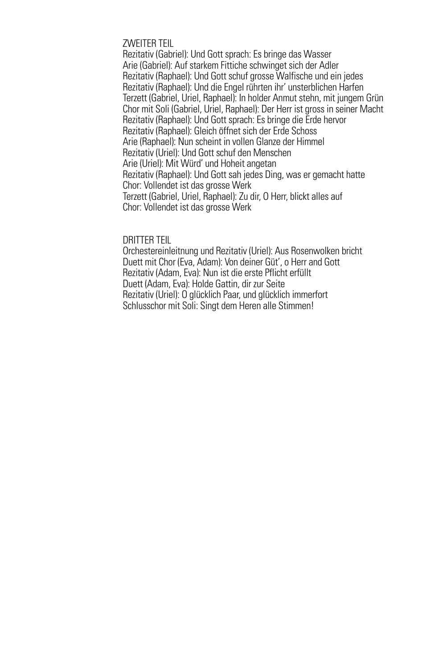#### ZWEITER TEIL

Rezitativ (Gabriel): Und Gott sprach: Es bringe das Wasser Arie (Gabriel): Auf starkem Fittiche schwinget sich der Adler Rezitativ (Raphael): Und Gott schuf grosse Walfische und ein jedes Rezitativ (Raphael): Und die Engel rührten ihr' unsterblichen Harfen Terzett (Gabriel, Uriel, Raphael): In holder Anmut stehn, mit jungem Grün Chor mit Soli (Gabriel, Uriel, Raphael): Der Herr ist gross in seiner Macht Rezitativ (Raphael): Und Gott sprach: Es bringe die Erde hervor Rezitativ (Raphael): Gleich öffnet sich der Erde Schoss Arie (Raphael): Nun scheint in vollen Glanze der Himmel Rezitativ (Uriel): Und Gott schuf den Menschen Arie (Uriel): Mit Würd' und Hoheit angetan Rezitativ (Raphael): Und Gott sah jedes Ding, was er gemacht hatte Chor: Vollendet ist das grosse Werk Terzett (Gabriel, Uriel, Raphael): Zu dir, O Herr, blickt alles auf Chor: Vollendet ist das grosse Werk

#### DRITTER TEIL

Orchestereinleitnung und Rezitativ (Uriel): Aus Rosenwolken bricht Duett mit Chor (Eva, Adam): Von deiner Güt', o Herr and Gott Rezitativ (Adam, Eva): Nun ist die erste Pflicht erfüllt Duett (Adam, Eva): Holde Gattin, dir zur Seite Rezitativ (Uriel): O glücklich Paar, und glücklich immerfort Schlusschor mit Soli: Singt dem Heren alle Stimmen!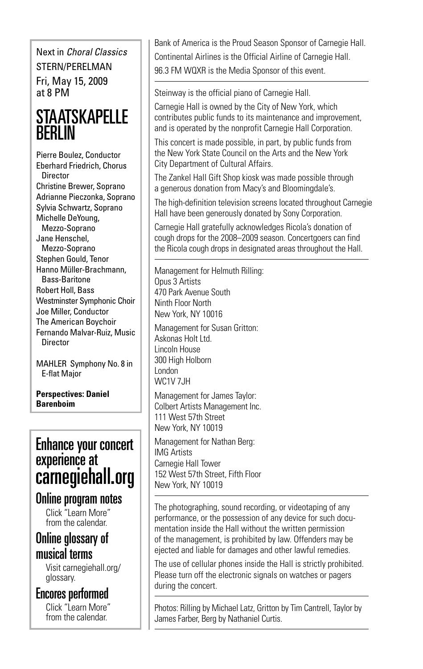Next in Choral Classics STERN/PERELMAN

Fri, May 15, 2009 at 8 PM

## **STAATSKAPELLE RFRIIN**

Pierre Boulez, Conductor Eberhard Friedrich, Chorus **Director** Christine Brewer, Soprano Adrianne Pieczonka, Soprano Sylvia Schwartz, Soprano Michelle DeYoung, Mezzo-Soprano Jane Henschel, Mezzo-Soprano Stephen Gould, Tenor Hanno Müller-Brachmann, Bass-Baritone Robert Holl, Bass Westminster Symphonic Choir Joe Miller, Conductor The American Boychoir Fernando Malvar-Ruiz, Music **Director** 

MAHLER Symphony No. 8 in E-flat Major

**Perspectives: Daniel Barenboim**

## Enhance your concert experience at carnegiehall.org

## Online program notes

Click "Learn More" from the calendar.

## Online glossary of musical terms

Visit carnegiehall.org/ glossary.

Encores performed

Click "Learn More" from the calendar.

Bank of America is the Proud Season Sponsor of Carnegie Hall. Continental Airlines is the Official Airline of Carnegie Hall. 96.3 FM WQXR is the Media Sponsor of this event.

Steinway is the official piano of Carnegie Hall.

Carnegie Hall is owned by the City of New York, which contributes public funds to its maintenance and improvement, and is operated by the nonprofit Carnegie Hall Corporation.

This concert is made possible, in part, by public funds from the New York State Council on the Arts and the New York City Department of Cultural Affairs.

The Zankel Hall Gift Shop kiosk was made possible through a generous donation from Macy's and Bloomingdale's.

The high-definition television screens located throughout Carnegie Hall have been generously donated by Sony Corporation.

Carnegie Hall gratefully acknowledges Ricola's donation of cough drops for the 2008–2009 season. Concertgoers can find the Ricola cough drops in designated areas throughout the Hall.

Management for Helmuth Rilling: Opus 3 Artists 470 Park Avenue South Ninth Floor North New York, NY 10016

Management for Susan Gritton: Askonas Holt Ltd. Lincoln House 300 High Holborn London **WC1V 7.IH** 

Management for James Taylor: Colbert Artists Management Inc. 111 West 57th Street New York, NY 10019

Management for Nathan Berg: IMG Artists Carnegie Hall Tower 152 West 57th Street, Fifth Floor New York, NY 10019

The photographing, sound recording, or videotaping of any performance, or the possession of any device for such documentation inside the Hall without the written permission of the management, is prohibited by law. Offenders may be ejected and liable for damages and other lawful remedies.

The use of cellular phones inside the Hall is strictly prohibited. Please turn off the electronic signals on watches or pagers during the concert.

Photos: Rilling by Michael Latz, Gritton by Tim Cantrell, Taylor by James Farber, Berg by Nathaniel Curtis.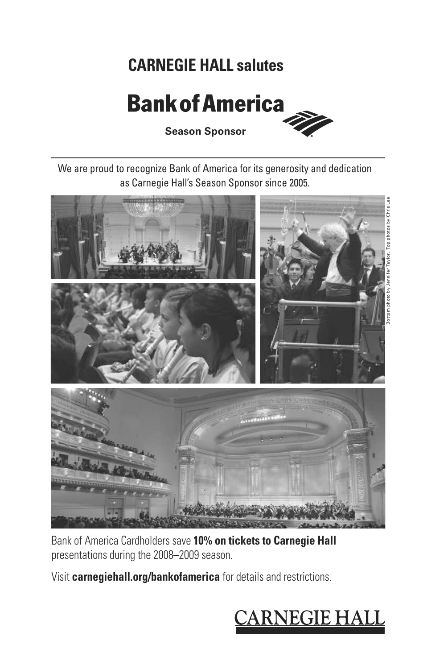## **CARNEGIE HALL salutes**

## **Bank of America**



**Season Sponsor**

We are proud to recognize Bank of America for its generosity and dedication as Carnegie Hall's Season Sponsor since 2005.



Bank of America Cardholders save **10% on tickets to Carnegie Hall** presentations during the 2008–2009 season.

Visit **carnegiehall.org/bankofamerica** for details and restrictions.

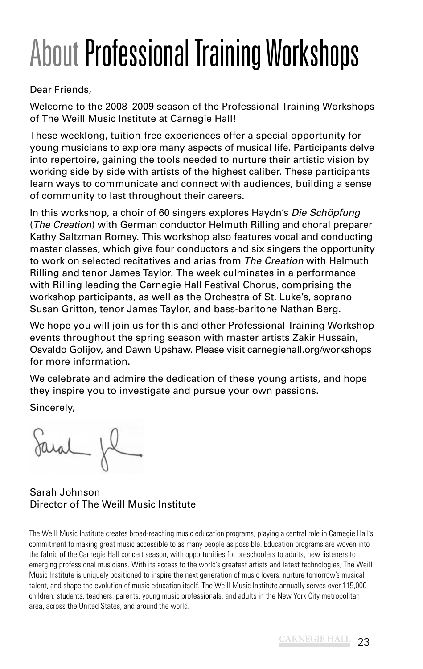# About Professional Training Workshops

Dear Friends,

Welcome to the 2008–2009 season of the Professional Training Workshops of The Weill Music Institute at Carnegie Hall!

These weeklong, tuition-free experiences offer a special opportunity for young musicians to explore many aspects of musical life. Participants delve into repertoire, gaining the tools needed to nurture their artistic vision by working side by side with artists of the highest caliber. These participants learn ways to communicate and connect with audiences, building a sense of community to last throughout their careers.

In this workshop, a choir of 60 singers explores Haydn's Die Schöpfung (The Creation) with German conductor Helmuth Rilling and choral preparer Kathy Saltzman Romey. This workshop also features vocal and conducting master classes, which give four conductors and six singers the opportunity to work on selected recitatives and arias from The Creation with Helmuth Rilling and tenor James Taylor. The week culminates in a performance with Rilling leading the Carnegie Hall Festival Chorus, comprising the workshop participants, as well as the Orchestra of St. Luke's, soprano Susan Gritton, tenor James Taylor, and bass-baritone Nathan Berg.

We hope you will join us for this and other Professional Training Workshop events throughout the spring season with master artists Zakir Hussain, Osvaldo Golijov, and Dawn Upshaw. Please visit carnegiehall.org/workshops for more information.

We celebrate and admire the dedication of these young artists, and hope they inspire you to investigate and pursue your own passions. Sincerely,

Sarah Johnson Director of The Weill Music Institute

The Weill Music Institute creates broad-reaching music education programs, playing a central role in Carnegie Hall's commitment to making great music accessible to as many people as possible. Education programs are woven into the fabric of the Carnegie Hall concert season, with opportunities for preschoolers to adults, new listeners to emerging professional musicians. With its access to the world's greatest artists and latest technologies, The Weill Music Institute is uniquely positioned to inspire the next generation of music lovers, nurture tomorrow's musical talent, and shape the evolution of music education itself. The Weill Music Institute annually serves over 115,000 children, students, teachers, parents, young music professionals, and adults in the New York City metropolitan area, across the United States, and around the world.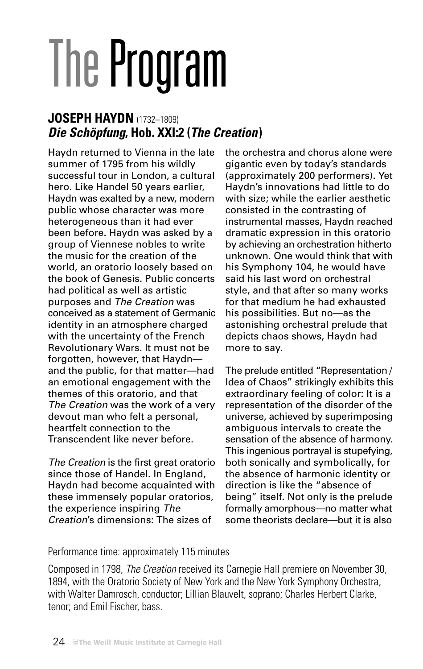# **The Program**

## **JOSEPH HAYDN** (1732–1809) **Die Schöpfung, Hob. XXI:2 (The Creation)**

Haydn returned to Vienna in the late summer of 1795 from his wildly successful tour in London, a cultural hero. Like Handel 50 years earlier, Haydn was exalted by a new, modern public whose character was more heterogeneous than it had ever been before. Haydn was asked by a group of Viennese nobles to write the music for the creation of the world, an oratorio loosely based on the book of Genesis. Public concerts had political as well as artistic purposes and The Creation was conceived as a statement of Germanic identity in an atmosphere charged with the uncertainty of the French Revolutionary Wars. It must not be forgotten, however, that Haydn and the public, for that matter—had an emotional engagement with the themes of this oratorio, and that The Creation was the work of a very devout man who felt a personal, heartfelt connection to the Transcendent like never before.

The Creation is the first great oratorio since those of Handel. In England, Haydn had become acquainted with these immensely popular oratorios, the experience inspiring The Creation's dimensions: The sizes of

the orchestra and chorus alone were gigantic even by today's standards (approximately 200 performers). Yet Haydn's innovations had little to do with size; while the earlier aesthetic consisted in the contrasting of instrumental masses, Haydn reached dramatic expression in this oratorio by achieving an orchestration hitherto unknown. One would think that with his Symphony 104, he would have said his last word on orchestral style, and that after so many works for that medium he had exhausted his possibilities. But no—as the astonishing orchestral prelude that depicts chaos shows, Haydn had more to say.

The prelude entitled "Representation / Idea of Chaos" strikingly exhibits this extraordinary feeling of color: It is a representation of the disorder of the universe, achieved by superimposing ambiguous intervals to create the sensation of the absence of harmony. This ingenious portrayal is stupefying, both sonically and symbolically, for the absence of harmonic identity or direction is like the "absence of being" itself. Not only is the prelude formally amorphous—no matter what some theorists declare—but it is also

## Performance time: approximately 115 minutes

Composed in 1798, The Creation received its Carnegie Hall premiere on November 30, 1894, with the Oratorio Society of New York and the New York Symphony Orchestra, with Walter Damrosch, conductor; Lillian Blauvelt, soprano; Charles Herbert Clarke, tenor; and Emil Fischer, bass.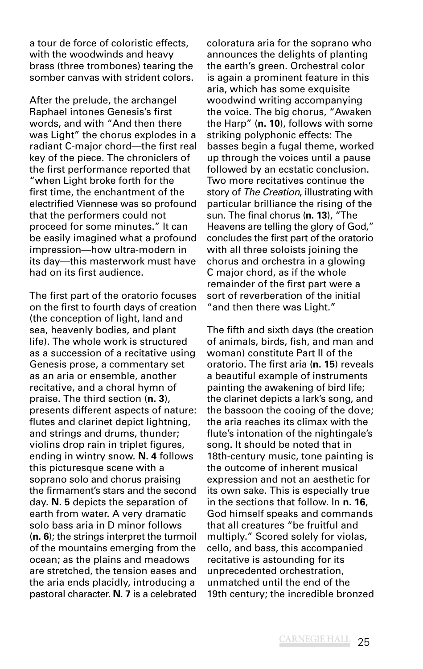a tour de force of coloristic effects, with the woodwinds and heavy brass (three trombones) tearing the somber canvas with strident colors.

After the prelude, the archangel Raphael intones Genesis's first words, and with "And then there was Light" the chorus explodes in a radiant C-major chord—the first real key of the piece. The chroniclers of the first performance reported that "when Light broke forth for the first time, the enchantment of the electrified Viennese was so profound that the performers could not proceed for some minutes." It can be easily imagined what a profound impression—how ultra-modern in its day—this masterwork must have had on its first audience.

The first part of the oratorio focuses on the first to fourth days of creation (the conception of light, land and sea, heavenly bodies, and plant life). The whole work is structured as a succession of a recitative using Genesis prose, a commentary set as an aria or ensemble, another recitative, and a choral hymn of praise. The third section (**n. 3**), presents different aspects of nature: flutes and clarinet depict lightning, and strings and drums, thunder; violins drop rain in triplet figures, ending in wintry snow. **N. 4** follows this picturesque scene with a soprano solo and chorus praising the firmament's stars and the second day. **N. 5** depicts the separation of earth from water. A very dramatic solo bass aria in D minor follows (**n. 6**); the strings interpret the turmoil of the mountains emerging from the ocean; as the plains and meadows are stretched, the tension eases and the aria ends placidly, introducing a pastoral character. **N. 7** is a celebrated coloratura aria for the soprano who announces the delights of planting the earth's green. Orchestral color is again a prominent feature in this aria, which has some exquisite woodwind writing accompanying the voice. The big chorus, "Awaken the Harp" (**n. 10**), follows with some striking polyphonic effects: The basses begin a fugal theme, worked up through the voices until a pause followed by an ecstatic conclusion. Two more recitatives continue the story of The Creation, illustrating with particular brilliance the rising of the sun. The final chorus (**n. 13**), "The Heavens are telling the glory of God," concludes the first part of the oratorio with all three soloists joining the chorus and orchestra in a glowing C major chord, as if the whole remainder of the first part were a sort of reverberation of the initial "and then there was Light."

The fifth and sixth days (the creation of animals, birds, fish, and man and woman) constitute Part II of the oratorio. The first aria (**n. 15**) reveals a beautiful example of instruments painting the awakening of bird life; the clarinet depicts a lark's song, and the bassoon the cooing of the dove; the aria reaches its climax with the flute's intonation of the nightingale's song. It should be noted that in 18th-century music, tone painting is the outcome of inherent musical expression and not an aesthetic for its own sake. This is especially true in the sections that follow. In **n. 16**, God himself speaks and commands that all creatures "be fruitful and multiply." Scored solely for violas, cello, and bass, this accompanied recitative is astounding for its unprecedented orchestration, unmatched until the end of the 19th century; the incredible bronzed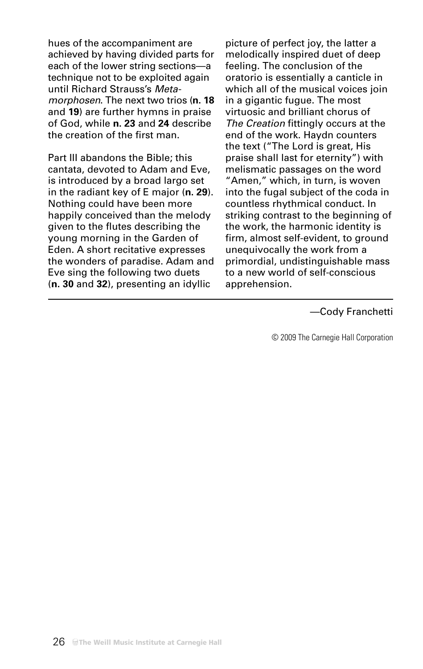hues of the accompaniment are achieved by having divided parts for each of the lower string sections—a technique not to be exploited again until Richard Strauss's Metamorphosen. The next two trios (**n. 18** and **19**) are further hymns in praise of God, while **n. 23** and **24** describe the creation of the first man.

Part III abandons the Bible; this cantata, devoted to Adam and Eve, is introduced by a broad largo set in the radiant key of E major (**n. 29**). Nothing could have been more happily conceived than the melody given to the flutes describing the young morning in the Garden of Eden. A short recitative expresses the wonders of paradise. Adam and Eve sing the following two duets (**n. 30** and **32**), presenting an idyllic

picture of perfect joy, the latter a melodically inspired duet of deep feeling. The conclusion of the oratorio is essentially a canticle in which all of the musical voices join in a gigantic fugue. The most virtuosic and brilliant chorus of The Creation fittingly occurs at the end of the work. Haydn counters the text ("The Lord is great, His praise shall last for eternity") with melismatic passages on the word "Amen," which, in turn, is woven into the fugal subject of the coda in countless rhythmical conduct. In striking contrast to the beginning of the work, the harmonic identity is firm, almost self-evident, to ground unequivocally the work from a primordial, undistinguishable mass to a new world of self-conscious apprehension.

#### —Cody Franchetti

© 2009 The Carnegie Hall Corporation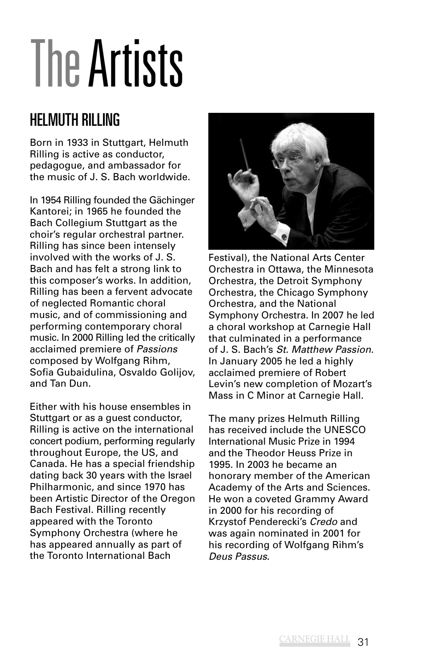# The Artists

## HELMUTH RILLING

Born in 1933 in Stuttgart, Helmuth Rilling is active as conductor, pedagogue, and ambassador for the music of J. S. Bach worldwide.

In 1954 Rilling founded the Gächinger Kantorei; in 1965 he founded the Bach Collegium Stuttgart as the choir's regular orchestral partner. Rilling has since been intensely involved with the works of J. S. Bach and has felt a strong link to this composer's works. In addition, Rilling has been a fervent advocate of neglected Romantic choral music, and of commissioning and performing contemporary choral music. In 2000 Rilling led the critically acclaimed premiere of Passions composed by Wolfgang Rihm, Sofia Gubaidulina, Osvaldo Golijov, and Tan Dun.

Either with his house ensembles in Stuttgart or as a guest conductor, Rilling is active on the international concert podium, performing regularly throughout Europe, the US, and Canada. He has a special friendship dating back 30 years with the Israel Philharmonic, and since 1970 has been Artistic Director of the Oregon Bach Festival. Rilling recently appeared with the Toronto Symphony Orchestra (where he has appeared annually as part of the Toronto International Bach



Festival), the National Arts Center Orchestra in Ottawa, the Minnesota Orchestra, the Detroit Symphony Orchestra, the Chicago Symphony Orchestra, and the National Symphony Orchestra. In 2007 he led a choral workshop at Carnegie Hall that culminated in a performance of J. S. Bach's St. Matthew Passion. In January 2005 he led a highly acclaimed premiere of Robert Levin's new completion of Mozart's Mass in C Minor at Carnegie Hall.

The many prizes Helmuth Rilling has received include the UNESCO International Music Prize in 1994 and the Theodor Heuss Prize in 1995. In 2003 he became an honorary member of the American Academy of the Arts and Sciences. He won a coveted Grammy Award in 2000 for his recording of Krzystof Penderecki's Credo and was again nominated in 2001 for his recording of Wolfgang Rihm's Deus Passus.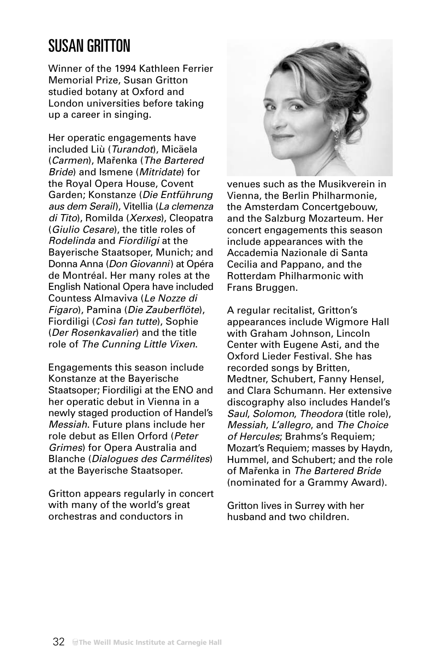## SUSAN GRITTON

Winner of the 1994 Kathleen Ferrier Memorial Prize, Susan Gritton studied botany at Oxford and London universities before taking up a career in singing.

Her operatic engagements have included Liù (Turandot), Micäela (Carmen), Mařenka (The Bartered Bride) and Ismene (Mitridate) for the Royal Opera House, Covent Garden; Konstanze (Die Entführung aus dem Serail), Vitellia (La clemenza di Tito), Romilda (Xerxes), Cleopatra (Giulio Cesare), the title roles of Rodelinda and Fiordiligi at the Bayerische Staatsoper, Munich; and Donna Anna (Don Giovanni) at Opéra de Montréal. Her many roles at the English National Opera have included Countess Almaviva (Le Nozze di Figaro), Pamina (Die Zauberflöte), Fiordiligi (Così fan tutte), Sophie (Der Rosenkavalier) and the title role of The Cunning Little Vixen.

Engagements this season include Konstanze at the Bayerische Staatsoper; Fiordiligi at the ENO and her operatic debut in Vienna in a newly staged production of Handel's Messiah. Future plans include her role debut as Ellen Orford (Peter Grimes) for Opera Australia and Blanche (Dialogues des Carmélites) at the Bayerische Staatsoper.

Gritton appears regularly in concert with many of the world's great orchestras and conductors in



venues such as the Musikverein in Vienna, the Berlin Philharmonie, the Amsterdam Concertgebouw, and the Salzburg Mozarteum. Her concert engagements this season include appearances with the Accademia Nazionale di Santa Cecilia and Pappano, and the Rotterdam Philharmonic with Frans Bruggen.

A regular recitalist, Gritton's appearances include Wigmore Hall with Graham Johnson, Lincoln Center with Eugene Asti, and the Oxford Lieder Festival. She has recorded songs by Britten, Medtner, Schubert, Fanny Hensel, and Clara Schumann. Her extensive discography also includes Handel's Saul, Solomon, Theodora (title role), Messiah, L'allegro, and The Choice of Hercules; Brahms's Requiem; Mozart's Requiem; masses by Haydn, Hummel, and Schubert; and the role of Mařenka in The Bartered Bride (nominated for a Grammy Award).

Gritton lives in Surrey with her husband and two children.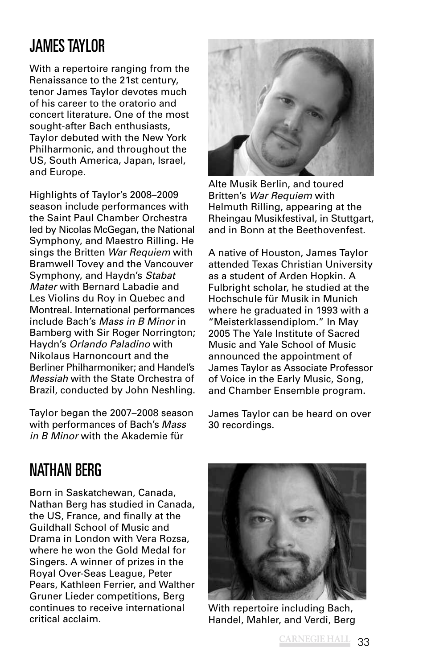## JAMES TAYLOR

With a repertoire ranging from the Renaissance to the 21st century, tenor James Taylor devotes much of his career to the oratorio and concert literature. One of the most sought-after Bach enthusiasts, Taylor debuted with the New York Philharmonic, and throughout the US, South America, Japan, Israel, and Europe.

Highlights of Taylor's 2008–2009 season include performances with the Saint Paul Chamber Orchestra led by Nicolas McGegan, the National Symphony, and Maestro Rilling. He sings the Britten War Requiem with Bramwell Tovey and the Vancouver Symphony, and Haydn's Stabat Mater with Bernard Labadie and Les Violins du Roy in Quebec and Montreal. International performances include Bach's Mass in B Minor in Bamberg with Sir Roger Norrington; Haydn's Orlando Paladino with Nikolaus Harnoncourt and the Berliner Philharmoniker; and Handel's Messiah with the State Orchestra of Brazil, conducted by John Neshling.

Taylor began the 2007–2008 season with performances of Bach's Mass in B Minor with the Akademie für



Alte Musik Berlin, and toured Britten's War Requiem with Helmuth Rilling, appearing at the Rheingau Musikfestival, in Stuttgart, and in Bonn at the Beethovenfest.

A native of Houston, James Taylor attended Texas Christian University as a student of Arden Hopkin. A Fulbright scholar, he studied at the Hochschule für Musik in Munich where he graduated in 1993 with a "Meisterklassendiplom." In May 2005 The Yale Institute of Sacred Music and Yale School of Music announced the appointment of James Taylor as Associate Professor of Voice in the Early Music, Song, and Chamber Ensemble program.

James Taylor can be heard on over 30 recordings.

## NATHAN BERG

Born in Saskatchewan, Canada, Nathan Berg has studied in Canada, the US, France, and finally at the Guildhall School of Music and Drama in London with Vera Rozsa, where he won the Gold Medal for Singers. A winner of prizes in the Royal Over-Seas League, Peter Pears, Kathleen Ferrier, and Walther Gruner Lieder competitions, Berg continues to receive international critical acclaim.



With repertoire including Bach, Handel, Mahler, and Verdi, Berg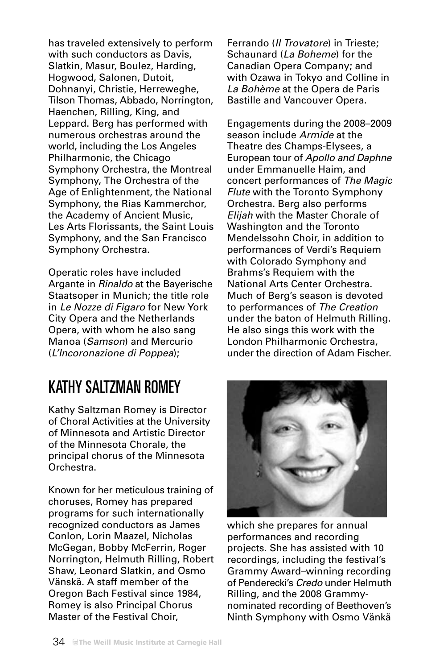has traveled extensively to perform with such conductors as Davis, Slatkin, Masur, Boulez, Harding, Hogwood, Salonen, Dutoit, Dohnanyi, Christie, Herreweghe, Tilson Thomas, Abbado, Norrington, Haenchen, Rilling, King, and Leppard. Berg has performed with numerous orchestras around the world, including the Los Angeles Philharmonic, the Chicago Symphony Orchestra, the Montreal Symphony, The Orchestra of the Age of Enlightenment, the National Symphony, the Rias Kammerchor, the Academy of Ancient Music, Les Arts Florissants, the Saint Louis Symphony, and the San Francisco Symphony Orchestra.

Operatic roles have included Argante in Rinaldo at the Bayerische Staatsoper in Munich; the title role in Le Nozze di Figaro for New York City Opera and the Netherlands Opera, with whom he also sang Manoa (Samson) and Mercurio (L'Incoronazione di Poppea);

## KATHY SALTZMAN ROMEY

Kathy Saltzman Romey is Director of Choral Activities at the University of Minnesota and Artistic Director of the Minnesota Chorale, the principal chorus of the Minnesota Orchestra.

Known for her meticulous training of choruses, Romey has prepared programs for such internationally recognized conductors as James Conlon, Lorin Maazel, Nicholas McGegan, Bobby McFerrin, Roger Norrington, Helmuth Rilling, Robert Shaw, Leonard Slatkin, and Osmo Vänskä. A staff member of the Oregon Bach Festival since 1984, Romey is also Principal Chorus Master of the Festival Choir,

Ferrando (Il Trovatore) in Trieste; Schaunard (La Boheme) for the Canadian Opera Company; and with Ozawa in Tokyo and Colline in La Bohème at the Opera de Paris Bastille and Vancouver Opera.

Engagements during the 2008–2009 season include Armide at the Theatre des Champs-Elysees, a European tour of Apollo and Daphne under Emmanuelle Haim, and concert performances of The Magic Flute with the Toronto Symphony Orchestra. Berg also performs Elijah with the Master Chorale of Washington and the Toronto Mendelssohn Choir, in addition to performances of Verdi's Requiem with Colorado Symphony and Brahms's Requiem with the National Arts Center Orchestra. Much of Berg's season is devoted to performances of The Creation under the baton of Helmuth Rilling. He also sings this work with the London Philharmonic Orchestra, under the direction of Adam Fischer.



which she prepares for annual performances and recording projects. She has assisted with 10 recordings, including the festival's Grammy Award–winning recording of Penderecki's Credo under Helmuth Rilling, and the 2008 Grammynominated recording of Beethoven's Ninth Symphony with Osmo Vänkä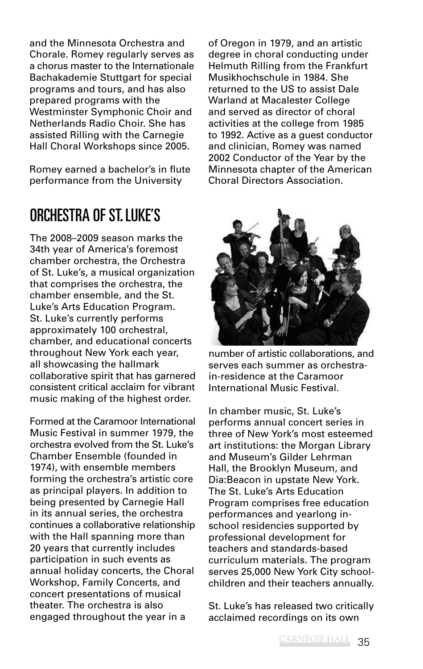and the Minnesota Orchestra and Chorale. Romey regularly serves as a chorus master to the Internationale Bachakademie Stuttgart for special programs and tours, and has also prepared programs with the Westminster Symphonic Choir and Netherlands Radio Choir. She has assisted Rilling with the Carnegie Hall Choral Workshops since 2005.

Romey earned a bachelor's in flute performance from the University

ORCHESTRA OF ST. LUKE'S

The 2008–2009 season marks the 34th year of America's foremost chamber orchestra, the Orchestra of St. Luke's, a musical organization that comprises the orchestra, the chamber ensemble, and the St. Luke's Arts Education Program. St. Luke's currently performs approximately 100 orchestral, chamber, and educational concerts throughout New York each year, all showcasing the hallmark collaborative spirit that has garnered consistent critical acclaim for vibrant music making of the highest order.

Formed at the Caramoor International Music Festival in summer 1979, the orchestra evolved from the St. Luke's Chamber Ensemble (founded in 1974), with ensemble members forming the orchestra's artistic core as principal players. In addition to being presented by Carnegie Hall in its annual series, the orchestra continues a collaborative relationship with the Hall spanning more than 20 years that currently includes participation in such events as annual holiday concerts, the Choral Workshop, Family Concerts, and concert presentations of musical theater. The orchestra is also engaged throughout the year in a

of Oregon in 1979, and an artistic degree in choral conducting under Helmuth Rilling from the Frankfurt Musikhochschule in 1984. She returned to the US to assist Dale Warland at Macalester College and served as director of choral activities at the college from 1985 to 1992. Active as a guest conductor and clinician, Romey was named 2002 Conductor of the Year by the Minnesota chapter of the American Choral Directors Association.



number of artistic collaborations, and serves each summer as orchestrain-residence at the Caramoor International Music Festival.

In chamber music, St. Luke's performs annual concert series in three of New York's most esteemed art institutions: the Morgan Library and Museum's Gilder Lehrman Hall, the Brooklyn Museum, and Dia:Beacon in upstate New York. The St. Luke's Arts Education Program comprises free education performances and yearlong inschool residencies supported by professional development for teachers and standards-based curriculum materials. The program serves 25,000 New York City schoolchildren and their teachers annually.

St. Luke's has released two critically acclaimed recordings on its own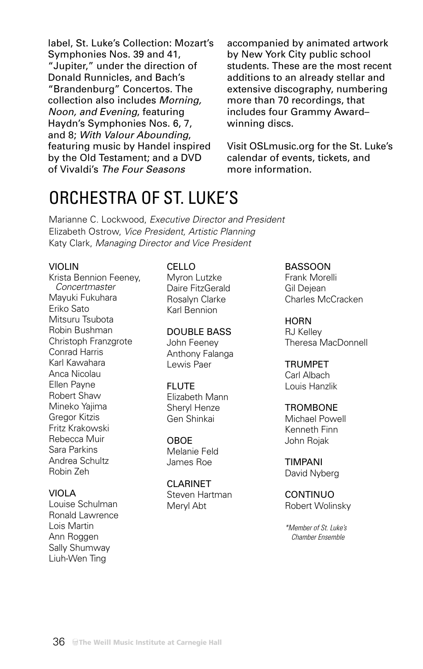label, St. Luke's Collection: Mozart's Symphonies Nos. 39 and 41, "Jupiter," under the direction of Donald Runnicles, and Bach's "Brandenburg" Concertos. The collection also includes Morning, Noon, and Evening, featuring Haydn's Symphonies Nos. 6, 7, and 8; With Valour Abounding, featuring music by Handel inspired by the Old Testament; and a DVD of Vivaldi's The Four Seasons

accompanied by animated artwork by New York City public school students. These are the most recent additions to an already stellar and extensive discography, numbering more than 70 recordings, that includes four Grammy Award– winning discs.

Visit OSLmusic.org for the St. Luke's calendar of events, tickets, and more information.

## ORCHESTRA OF ST. LUKE'S

Marianne C. Lockwood, Executive Director and President Elizabeth Ostrow, Vice President, Artistic Planning Katy Clark, Managing Director and Vice President

#### VIOLIN

Krista Bennion Feeney, Concertmaster Mayuki Fukuhara Eriko Sato Mitsuru Tsubota Robin Bushman Christoph Franzgrote Conrad Harris Karl Kawahara Anca Nicolau Ellen Payne Robert Shaw Mineko Yajima Gregor Kitzis Fritz Krakowski Rebecca Muir Sara Parkins Andrea Schultz Robin Zeh

#### VIOLA

Louise Schulman Ronald Lawrence Lois Martin Ann Roggen Sally Shumway Liuh-Wen Ting

#### CELLO

Myron Lutzke Daire FitzGerald Rosalyn Clarke Karl Bennion

#### DOUBLE BASS

John Feeney Anthony Falanga Lewis Paer

#### **FLUTE**

Elizabeth Mann Sheryl Henze Gen Shinkai

#### OBOE

Melanie Feld James Roe

#### CLARINET

Steven Hartman Meryl Abt

BASSOON

Frank Morelli Gil Dejean Charles McCracken

#### **HORN**

RJ Kelley Theresa MacDonnell

#### TRUMPET Carl Albach

Louis Hanzlik

#### **TROMBONE**

Michael Powell Kenneth Finn John Rojak

TIMPANI David Nyberg

CONTINUO Robert Wolinsky

\*Member of St. Luke's Chamber Ensemble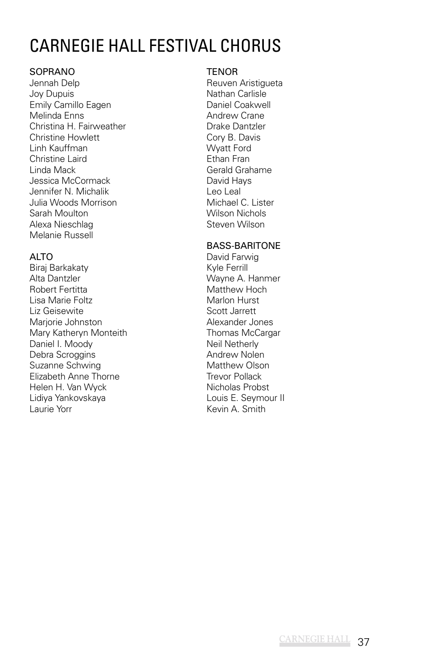## CARNEGIE HALL FESTIVAL CHORUS

### SOPRANO

Jennah Delp Joy Dupuis Emily Camillo Eagen Melinda Enns Christina H. Fairweather Christine Howlett Linh Kauffman Christine Laird Linda Mack Jessica McCormack Jennifer N. Michalik Julia Woods Morrison Sarah Moulton Alexa Nieschlag Melanie Russell

## ALTO

Biraj Barkakaty Alta Dantzler Robert Fertitta Lisa Marie Foltz Liz Geisewite Marjorie Johnston Mary Katheryn Monteith Daniel I. Moody Debra Scroggins Suzanne Schwing Elizabeth Anne Thorne Helen H. Van Wyck Lidiya Yankovskaya Laurie Yorr

#### **TENOR**

Reuven Aristigueta Nathan Carlisle Daniel Coakwell Andrew Crane Drake Dantzler Cory B. Davis Wyatt Ford Ethan Fran Gerald Grahame David Hays Leo Leal Michael C. Lister Wilson Nichols Steven Wilson

## BASS-BARITONE

David Farwig Kyle Ferrill Wayne A. Hanmer Matthew Hoch Marlon Hurst Scott Jarrett Alexander Jones Thomas McCargar Neil Netherly Andrew Nolen Matthew Olson Trevor Pollack Nicholas Probst Louis E. Seymour II Kevin A. Smith